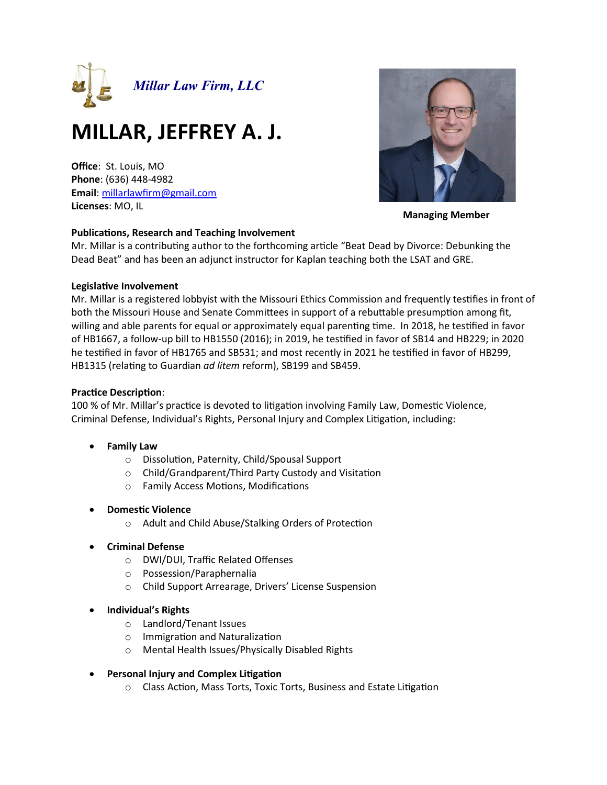

# **MILLAR, JEFFREY A. J.**

**Office**: St. Louis, MO **Phone**: (636) 448-4982 **Email**[: millarlawfirm@gmail.com](mailto:millarlawfirm@gmail.com) **Licenses**: MO, IL



**Managing Member**

## **Publications, Research and Teaching Involvement**

Mr. Millar is a contributing author to the forthcoming article "Beat Dead by Divorce: Debunking the Dead Beat" and has been an adjunct instructor for Kaplan teaching both the LSAT and GRE.

## **Legislative Involvement**

Mr. Millar is a registered lobbyist with the Missouri Ethics Commission and frequently testifies in front of both the Missouri House and Senate Committees in support of a rebuttable presumption among fit, willing and able parents for equal or approximately equal parenting time. In 2018, he testified in favor of HB1667, a follow-up bill to HB1550 (2016); in 2019, he testified in favor of SB14 and HB229; in 2020 he testified in favor of HB1765 and SB531; and most recently in 2021 he testified in favor of HB299, HB1315 (relating to Guardian *ad litem* reform), SB199 and SB459.

## **Practice Description**:

100 % of Mr. Millar's practice is devoted to litigation involving Family Law, Domestic Violence, Criminal Defense, Individual's Rights, Personal Injury and Complex Litigation, including:

- **Family Law**
	- o Dissolution, Paternity, Child/Spousal Support
	- o Child/Grandparent/Third Party Custody and Visitation
	- o Family Access Motions, Modifications
- **Domestic Violence**
	- o Adult and Child Abuse/Stalking Orders of Protection
- **Criminal Defense**
	- o DWI/DUI, Traffic Related Offenses
	- o Possession/Paraphernalia
	- o Child Support Arrearage, Drivers' License Suspension
- **Individual's Rights**
	- o Landlord/Tenant Issues
	- o Immigration and Naturalization
	- o Mental Health Issues/Physically Disabled Rights
- **Personal Injury and Complex Litigation**
	- o Class Action, Mass Torts, Toxic Torts, Business and Estate Litigation